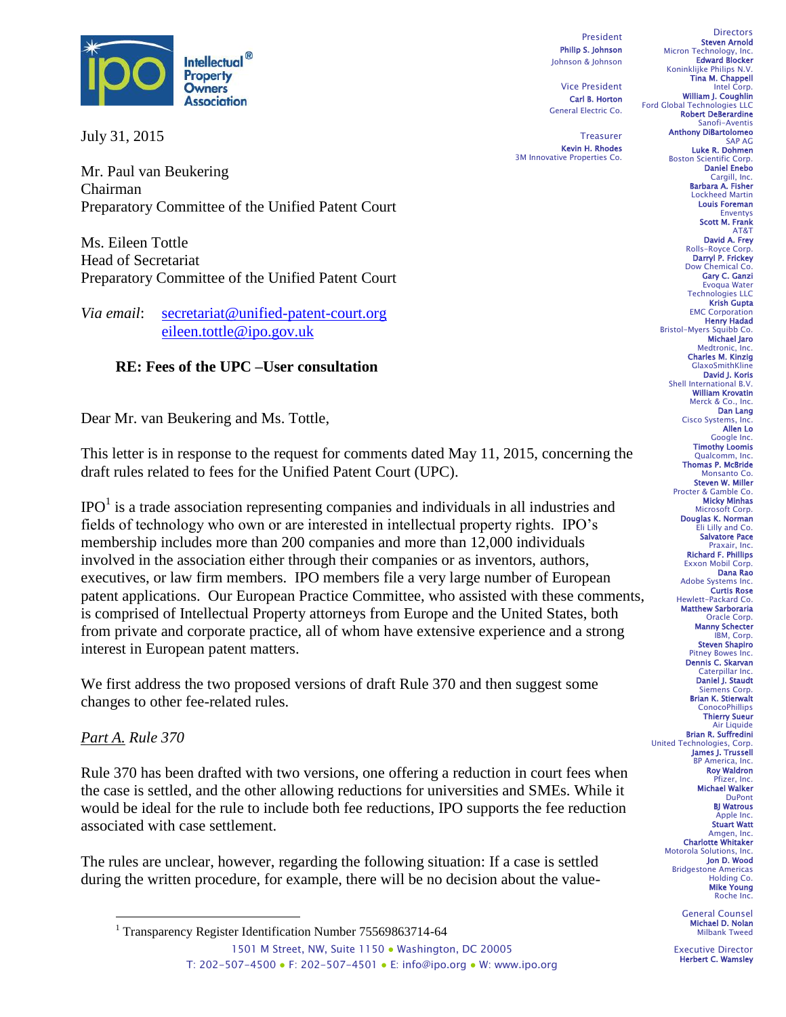

July 31, 2015

Mr. Paul van Beukering Chairman Preparatory Committee of the Unified Patent Court

Ms. Eileen Tottle Head of Secretariat Preparatory Committee of the Unified Patent Court

*Via email*: [secretariat@unified-patent-court.org](mailto:secretariat@unified-patent-court.org)  [eileen.tottle@ipo.gov.uk](mailto:eileen.tottle@ipo.gov.uk)

# **RE: Fees of the UPC –User consultation**

Dear Mr. van Beukering and Ms. Tottle,

This letter is in response to the request for comments dated May 11, 2015, concerning the draft rules related to fees for the Unified Patent Court (UPC).

 $IPO<sup>1</sup>$  is a trade association representing companies and individuals in all industries and fields of technology who own or are interested in intellectual property rights. IPO's membership includes more than 200 companies and more than 12,000 individuals involved in the association either through their companies or as inventors, authors, executives, or law firm members. IPO members file a very large number of European patent applications. Our European Practice Committee, who assisted with these comments, is comprised of Intellectual Property attorneys from Europe and the United States, both from private and corporate practice, all of whom have extensive experience and a strong interest in European patent matters.

We first address the two proposed versions of draft Rule 370 and then suggest some changes to other fee-related rules.

### *Part A. Rule 370*

 $\overline{a}$ 

Rule 370 has been drafted with two versions, one offering a reduction in court fees when the case is settled, and the other allowing reductions for universities and SMEs. While it would be ideal for the rule to include both fee reductions, IPO supports the fee reduction associated with case settlement.

The rules are unclear, however, regarding the following situation: If a case is settled during the written procedure, for example, there will be no decision about the value-

President Philip S. Johnson Johnson & Johnson

Vice President Carl B. Horton General Electric Co.

**Treasurer** Kevin H. Rhodes 3M Innovative Properties Co.

**Directors** Steven Arnold Micron Technology, Inc. Edward Blocker Koninklijke Philips N.V. Tina M. Chappell Intel Corp. William J. Coughlin Ford Global Technologies LLC Robert DeBerardine Sanofi-Aventis Anthony DiBartolomeo SAP AG Luke R. Dohmen Boston Scientific Corp. Daniel Enebo Cargill, Inc. Barbara A. Fisher Lockheed Martin Louis Foreman Enventys Scott M. Frank AT&T David A. Frey Rolls-Royce Corp. Darryl P. Frickey Dow Chemical Co. Gary C. Ganzi Evoqua Water Technologies LLC Krish Gupta EMC Corporation **Henry Hadad**<br>.Bristol-Myers Squibb Co Michael Jaro Medtronic, Inc. Charles M. Kinzig GlaxoSmithKlin David J. Koris Shell International B.V. William Krovatin Merck & Co., Inc. Dan Lang Cisco Systems, Inc. Allen Lo Google Inc. Timothy Loomis Qualcomm, Inc. Thomas P. McBride Monsanto Co. Steven W. Miller Procter & Gamble Co. Micky Minhas Microsoft Corp. Douglas K. Norman Eli Lilly and Co. Salvatore Pace Praxair, Inc. Richard F. Phillips Exxon Mobil Corp. Dana Rao Adobe Systems Inc. Curtis Rose Hewlett-Packard Co. Matthew Sarboraria Oracle Corp. Manny Schecter IBM, Corp. Steven Shapiro Pitney Bowes Inc. Dennis C. Skarvan Caterpillar Inc. Daniel J. Staudt Siemens Corp. Brian K. Stierwalt **ConocoPhillips** Thierry Sueur Liquide Brian R. Suffredini United Technologies, Corp. James J. Trussell BP America, Inc. Roy Waldron Pfizer, Inc. Michael Walker DuPont BJ Watrous Apple Inc. Stuart Watt Amgen, Inc. Charlotte Whitaker Motorola Solutions, Inc. Jon D. Wood Bridgestone Americas Holding Co. Mike Young Roche Inc. General Counsel

Michael D. Nolan Milbank Tweed

Executive Director Herbert C. Wamsley

<sup>1501</sup> M Street, NW, Suite 1150 · Washington, DC 20005 T: 202-507-4500 ● F: 202-507-4501 ● E: info@ipo.org ● W: www.ipo.org <sup>1</sup> Transparency Register Identification Number 75569863714-64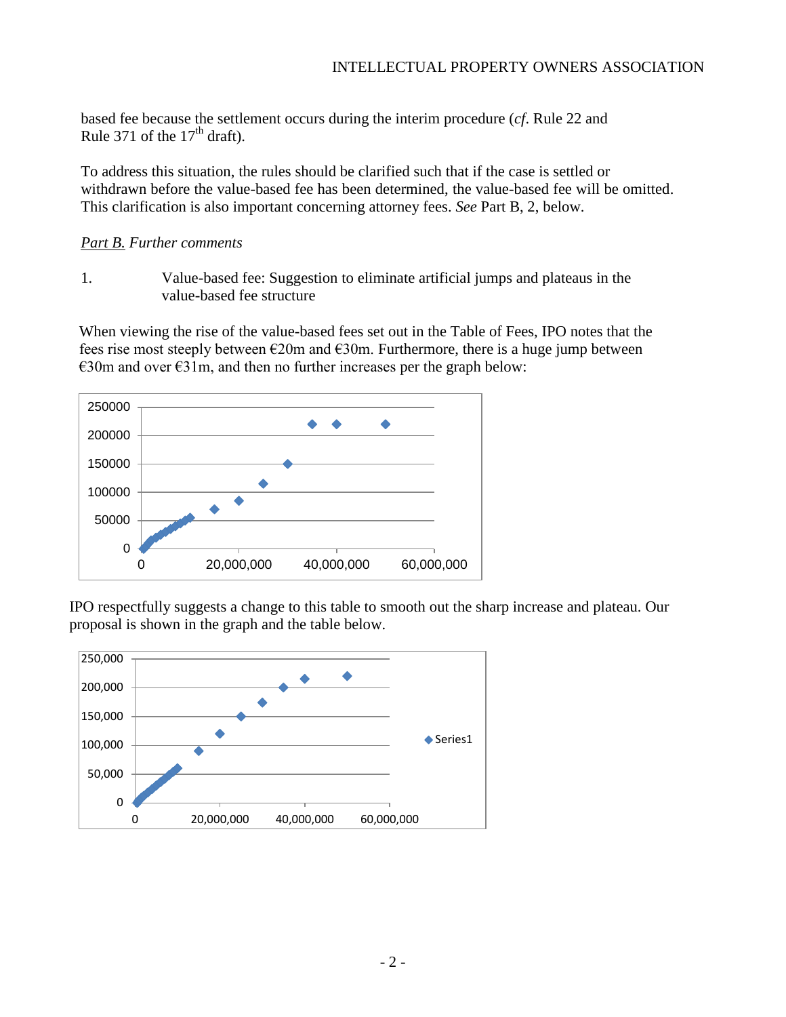based fee because the settlement occurs during the interim procedure (*cf*. Rule 22 and Rule 371 of the  $17<sup>th</sup>$  draft).

To address this situation, the rules should be clarified such that if the case is settled or withdrawn before the value-based fee has been determined, the value-based fee will be omitted. This clarification is also important concerning attorney fees. *See* Part B, 2, below.

### *Part B. Further comments*

1. Value-based fee: Suggestion to eliminate artificial jumps and plateaus in the value-based fee structure

When viewing the rise of the value-based fees set out in the Table of Fees, IPO notes that the fees rise most steeply between  $E20m$  and  $E30m$ . Furthermore, there is a huge jump between €30m and over €31m, and then no further increases per the graph below:



IPO respectfully suggests a change to this table to smooth out the sharp increase and plateau. Our proposal is shown in the graph and the table below.

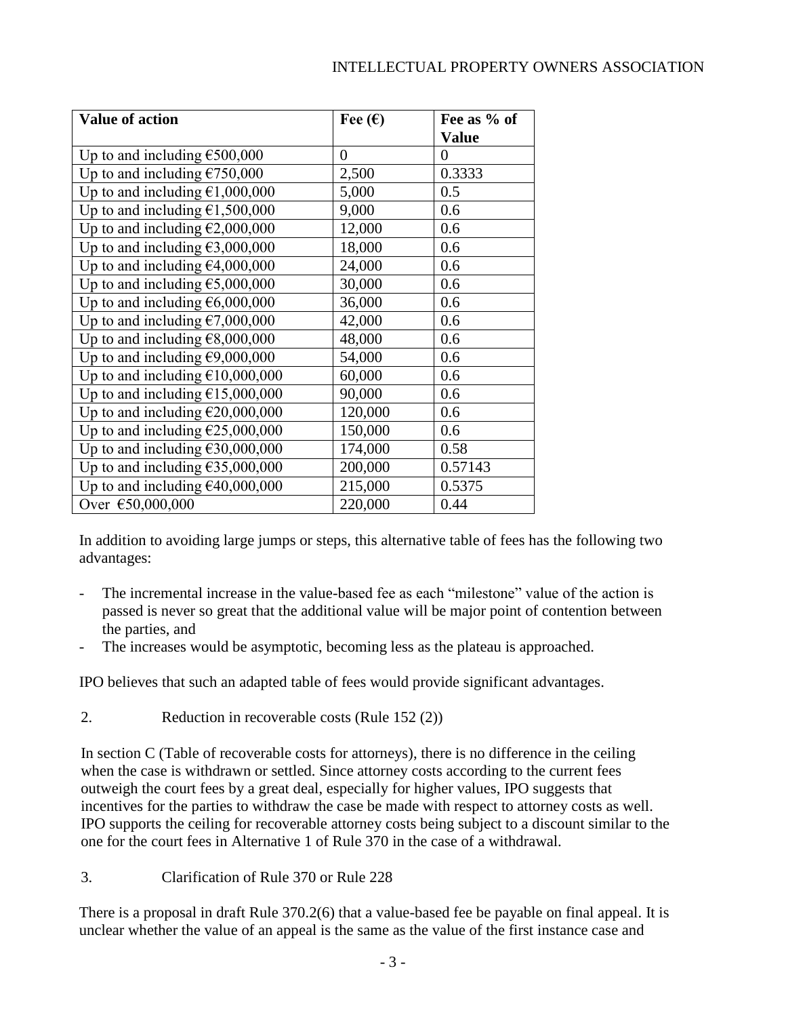## INTELLECTUAL PROPERTY OWNERS ASSOCIATION

| <b>Value of action</b>                    | Fee $(\epsilon)$ | Fee as % of  |
|-------------------------------------------|------------------|--------------|
|                                           |                  | <b>Value</b> |
| Up to and including $\epsilon$ 500,000    | $\Omega$         | $\theta$     |
| Up to and including $£750,000$            | 2,500            | 0.3333       |
| Up to and including $\epsilon$ 1,000,000  | 5,000            | 0.5          |
| Up to and including $\epsilon$ 1,500,000  | 9,000            | 0.6          |
| Up to and including $\epsilon$ 2,000,000  | 12,000           | 0.6          |
| Up to and including $\epsilon$ 3,000,000  | 18,000           | 0.6          |
| Up to and including $\epsilon$ 4,000,000  | 24,000           | 0.6          |
| Up to and including $\epsilon$ 5,000,000  | 30,000           | 0.6          |
| Up to and including $\epsilon$ 6,000,000  | 36,000           | 0.6          |
| Up to and including $\epsilon$ 7,000,000  | 42,000           | 0.6          |
| Up to and including $E8,000,000$          | 48,000           | 0.6          |
| Up to and including $\epsilon$ 9,000,000  | 54,000           | 0.6          |
| Up to and including $£10,000,000$         | 60,000           | 0.6          |
| Up to and including $£15,000,000$         | 90,000           | 0.6          |
| Up to and including $\epsilon$ 20,000,000 | 120,000          | 0.6          |
| Up to and including $£25,000,000$         | 150,000          | 0.6          |
| Up to and including $£30,000,000$         | 174,000          | 0.58         |
| Up to and including $£35,000,000$         | 200,000          | 0.57143      |
| Up to and including $\epsilon$ 40,000,000 | 215,000          | 0.5375       |
| Over €50,000,000                          | 220,000          | 0.44         |

In addition to avoiding large jumps or steps, this alternative table of fees has the following two advantages:

- The incremental increase in the value-based fee as each "milestone" value of the action is passed is never so great that the additional value will be major point of contention between the parties, and
- The increases would be asymptotic, becoming less as the plateau is approached.

IPO believes that such an adapted table of fees would provide significant advantages.

2. Reduction in recoverable costs (Rule 152 (2))

In section C (Table of recoverable costs for attorneys), there is no difference in the ceiling when the case is withdrawn or settled. Since attorney costs according to the current fees outweigh the court fees by a great deal, especially for higher values, IPO suggests that incentives for the parties to withdraw the case be made with respect to attorney costs as well. IPO supports the ceiling for recoverable attorney costs being subject to a discount similar to the one for the court fees in Alternative 1 of Rule 370 in the case of a withdrawal.

3. Clarification of Rule 370 or Rule 228

There is a proposal in draft Rule 370.2(6) that a value-based fee be payable on final appeal. It is unclear whether the value of an appeal is the same as the value of the first instance case and